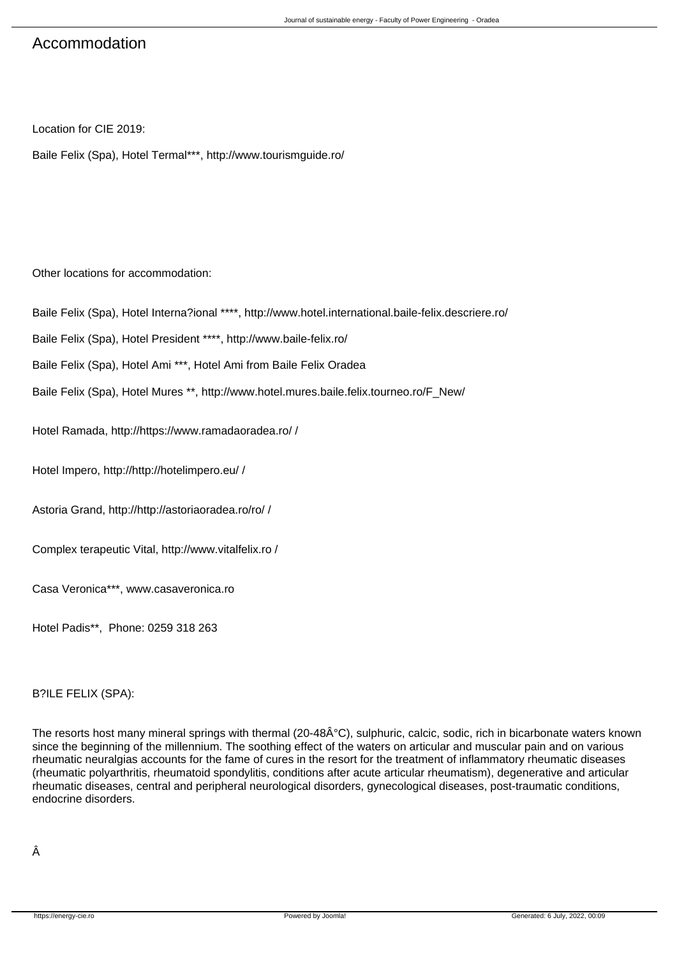# Accommodation

Location for CIE 2019:

Baile Felix (Spa), Hotel Termal\*\*\*, http://www.tourismguide.ro/

Other locations for accommodation:

Baile Felix (Spa), Hotel Interna?ional \*\*\*\*, http://www.hotel.international.baile-felix.descriere.ro/

Baile Felix (Spa), Hotel President \*\*\*\*, http://www.baile-felix.ro/

Baile Felix (Spa), Hotel Ami \*\*\*, Hotel Ami from Baile Felix Oradea

Baile Felix (Spa), Hotel Mures \*\*, http://www.hotel.mures.baile.felix.tourneo.ro/F\_New/

Hotel Ramada, http://https://www.ramadaoradea.ro/ /

Hotel Impero, http://http://hotelimpero.eu/ /

Astoria Grand, http://http://astoriaoradea.ro/ro/ /

Complex terapeutic Vital, http://www.vitalfelix.ro /

Casa Veronica\*\*\*, www.casaveronica.ro

Hotel Padis\*\*, Phone: 0259 318 263

# B?ILE FELIX (SPA):

The resorts host many mineral springs with thermal (20-48°C), sulphuric, calcic, sodic, rich in bicarbonate waters known since the beginning of the millennium. The soothing effect of the waters on articular and muscular pain and on various rheumatic neuralgias accounts for the fame of cures in the resort for the treatment of inflammatory rheumatic diseases (rheumatic polyarthritis, rheumatoid spondylitis, conditions after acute articular rheumatism), degenerative and articular rheumatic diseases, central and peripheral neurological disorders, gynecological diseases, post-traumatic conditions, endocrine disorders.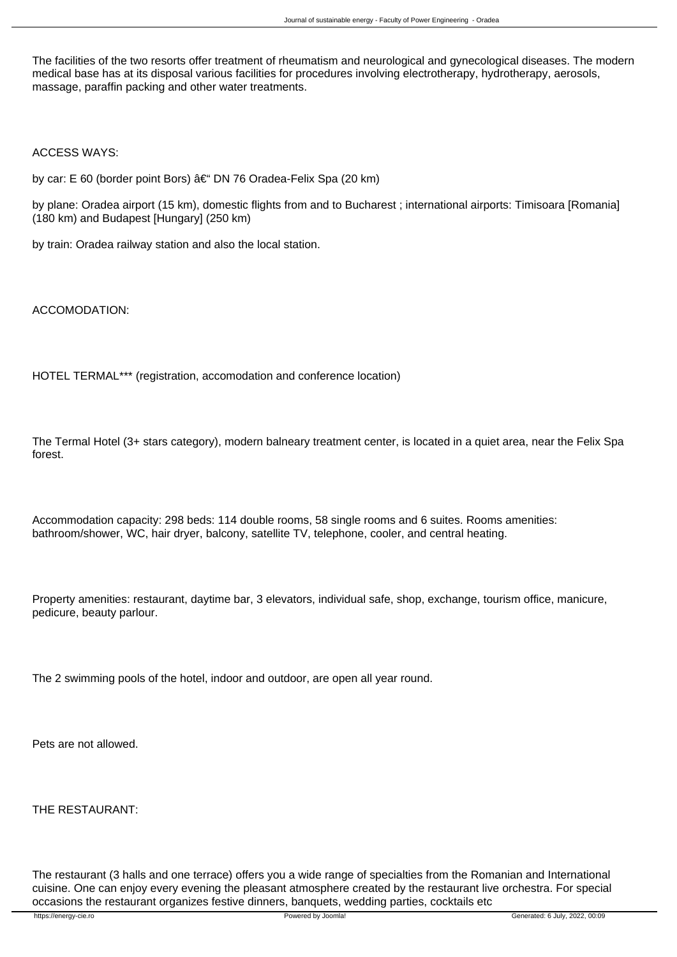The facilities of the two resorts offer treatment of rheumatism and neurological and gynecological diseases. The modern medical base has at its disposal various facilities for procedures involving electrotherapy, hydrotherapy, aerosols, massage, paraffin packing and other water treatments.

ACCESS WAYS:

by car: E 60 (border point Bors) †DN 76 Oradea-Felix Spa (20 km)

by plane: Oradea airport (15 km), domestic flights from and to Bucharest ; international airports: Timisoara [Romania] (180 km) and Budapest [Hungary] (250 km)

by train: Oradea railway station and also the local station.

ACCOMODATION:

HOTEL TERMAL\*\*\* (registration, accomodation and conference location)

The Termal Hotel (3+ stars category), modern balneary treatment center, is located in a quiet area, near the Felix Spa forest.

Accommodation capacity: 298 beds: 114 double rooms, 58 single rooms and 6 suites. Rooms amenities: bathroom/shower, WC, hair dryer, balcony, satellite TV, telephone, cooler, and central heating.

Property amenities: restaurant, daytime bar, 3 elevators, individual safe, shop, exchange, tourism office, manicure, pedicure, beauty parlour.

The 2 swimming pools of the hotel, indoor and outdoor, are open all year round.

Pets are not allowed.

THE RESTAURANT:

The restaurant (3 halls and one terrace) offers you a wide range of specialties from the Romanian and International cuisine. One can enjoy every evening the pleasant atmosphere created by the restaurant live orchestra. For special occasions the restaurant organizes festive dinners, banquets, wedding parties, cocktails etc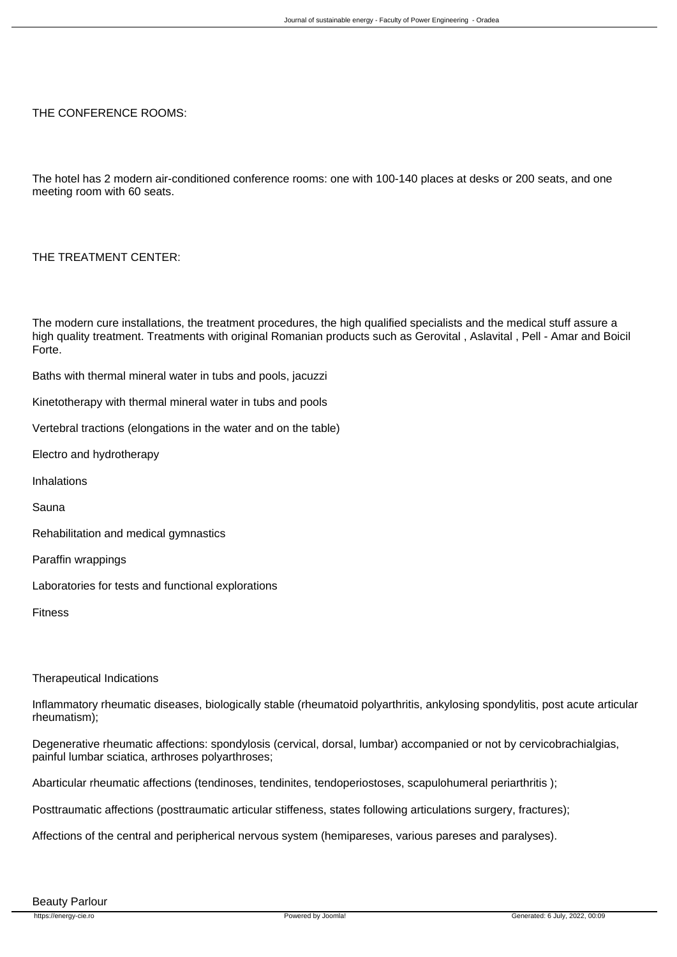### THE CONFERENCE ROOMS:

The hotel has 2 modern air-conditioned conference rooms: one with 100-140 places at desks or 200 seats, and one meeting room with 60 seats.

# THE TREATMENT CENTER:

The modern cure installations, the treatment procedures, the high qualified specialists and the medical stuff assure a high quality treatment. Treatments with original Romanian products such as Gerovital , Aslavital , Pell - Amar and Boicil Forte.

Baths with thermal mineral water in tubs and pools, jacuzzi

Kinetotherapy with thermal mineral water in tubs and pools

Vertebral tractions (elongations in the water and on the table)

Electro and hydrotherapy

Inhalations

Sauna

Rehabilitation and medical gymnastics

Paraffin wrappings

Laboratories for tests and functional explorations

Fitness

#### Therapeutical Indications

Inflammatory rheumatic diseases, biologically stable (rheumatoid polyarthritis, ankylosing spondylitis, post acute articular rheumatism);

Degenerative rheumatic affections: spondylosis (cervical, dorsal, lumbar) accompanied or not by cervicobrachialgias, painful lumbar sciatica, arthroses polyarthroses;

Abarticular rheumatic affections (tendinoses, tendinites, tendoperiostoses, scapulohumeral periarthritis );

Posttraumatic affections (posttraumatic articular stiffeness, states following articulations surgery, fractures);

Affections of the central and peripherical nervous system (hemipareses, various pareses and paralyses).